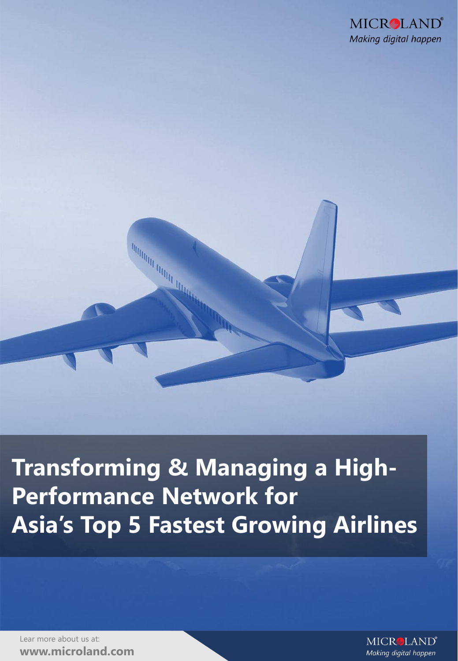

#### **Transforming & Managing a High-Performance Network for Asia's Top 5 Fastest Growing Airlines**

**INTERFERENCE DESCRIPTION OF REAL PROPERTY** 

Lear more about us at: **www.microland.com**

**MICRALAND**<sup>®</sup> Making digital happen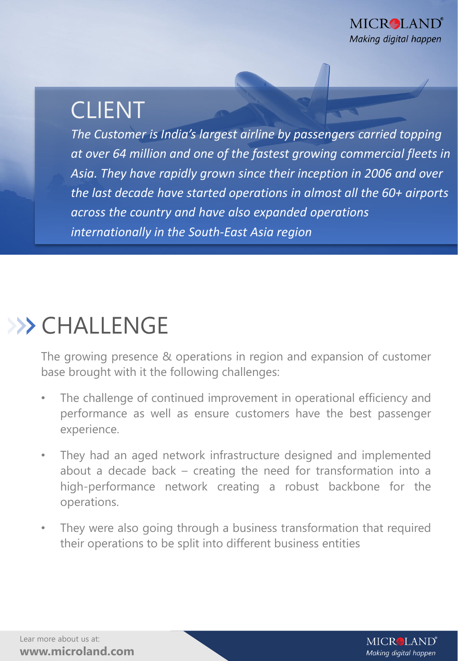#### CLIENT

*The Customer is India's largest airline by passengers carried topping at over 64 million and one of the fastest growing commercial fleets in Asia. They have rapidly grown since their inception in 2006 and over the last decade have started operations in almost all the 60+ airports across the country and have also expanded operations internationally in the South-East Asia region*

### >>> CHALLENGE

The growing presence & operations in region and expansion of customer base brought with it the following challenges:

- The challenge of continued improvement in operational efficiency and performance as well as ensure customers have the best passenger experience.
- They had an aged network infrastructure designed and implemented about a decade back – creating the need for transformation into a high-performance network creating a robust backbone for the operations.
- They were also going through a business transformation that required their operations to be split into different business entities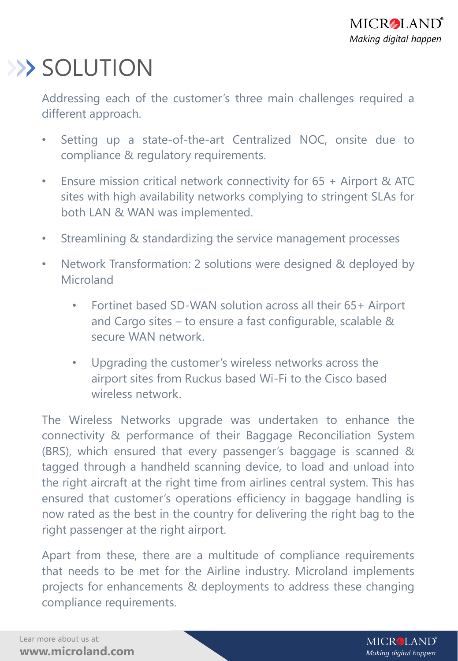## >> SOLUTION

Addressing each of the customer's three main challenges required a different approach.

- Setting up a state-of-the-art Centralized NOC, onsite due to compliance & regulatory requirements.
- Ensure mission critical network connectivity for 65 + Airport & ATC sites with high availability networks complying to stringent SLAs for both LAN & WAN was implemented.
- Streamlining & standardizing the service management processes
- Network Transformation: 2 solutions were designed & deployed by **Microland** 
	- Fortinet based SD-WAN solution across all their 65+ Airport and Cargo sites – to ensure a fast configurable, scalable & secure WAN network.
	- Upgrading the customer's wireless networks across the airport sites from Ruckus based Wi-Fi to the Cisco based wireless network.

The Wireless Networks upgrade was undertaken to enhance the connectivity & performance of their Baggage Reconciliation System (BRS), which ensured that every passenger's baggage is scanned & tagged through a handheld scanning device, to load and unload into the right aircraft at the right time from airlines central system. This has ensured that customer's operations efficiency in baggage handling is now rated as the best in the country for delivering the right bag to the right passenger at the right airport.

Apart from these, there are a multitude of compliance requirements that needs to be met for the Airline industry. Microland implements projects for enhancements & deployments to address these changing compliance requirements.